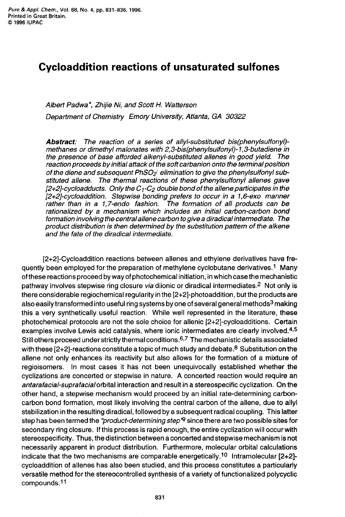## **Cycloaddition reactions of unsaturated sulfones**

## *Albert Padwa\*, Zhijie Ni, and Scott H. Watterson Department of Chemistry Emory University, Atlanta, GA 30322*

*Abstract: The reaction of a series of allyl-substituted bis(phenylsulfony1) methanes or dimethyl malonates with 2,3-bis(phenylsulfonyl)-1,3-butadiene in the presence of base afforded alkenyl-substituted allenes in good yield. The reaction proceeds by initial attack of the soft carbanion onto the terminal position of the diene and subsequent PhS02- elimination to give the phenylsulfonyl substituted allene. The thermal reactions of these phenylsulfonyl allenes gave*   $[2+2]$ -cycloadducts. Only the  $C_1$ - $C_2$  double bond of the allene participates in the *[2+2]-cycloaddition. Stepwise bonding prefers to occur in a 1 ,&ex0 manner rather than in a 1,7-endo fashion. The formation of all products can be rationalized by a mechanism which includes an initial carbon-carbon bond formation involving the central allene carbon to give a diradical intermediate. The product distribution is then determined by the substitution pattern of the alkene and the fate of the diradical intermediate.* 

[2+2]-Cycloaddition reactions between allenes and ethylene derivatives have frequently been employed for the preparation of methylene cyclobutane derivatives.<sup>1</sup> Many of these reactions proceed by way of photochemical initiation, in which case the mechanistic pathway involves stepwise ring closure *via* diionic or diradical intermediates.<sup>2</sup> Not only is there considerable regiochemical regularity in the [2+2]-photoaddition, but the products are also easily transformed into useful ring systems by one of several general methods<sup>3</sup> making this a very synthetically useful reaction. While well represented in the literature, these photochemical protocols are not the sole choice for allenic [2+2]-cycloadditions. Certain examples involve Lewis acid catalysis, where ionic intermediates are clearly involved. $4.5$ Still others proceed under strictly thermal conditions.<sup>6,7</sup> The mechanistic details associated with these  $[2+2]$ -reactions constitute a topic of much study and debate.<sup>8</sup> Substitution on the allene not only enhances its reactivity but also allows for the formation of a mixture of regioisomers. In most cases it has not been unequivocally established whether the cyclizations are concerted or stepwise in nature. **A** concerted reaction would require an *antarafacial-suprafacialorbital* interaction and result in a stereospecific cyclization. **On** the other hand, a stepwise mechanism would proceed by an initial rate-determining carboncarbon bond formation, most likely involving the central carbon of the allene, due **to** ally1 stabilization in the resulting diradical, followed by a subsequent radical coupling. This latter step has been termed the *"product-determining step"*9 since there are two possible sites for secondary ring closure. If this process is rapid enough, the entire cyclization will occur with stereospecificity. Thus, the distinction between a concerted and stepwise mechanism is not necessarily apparent in product distribution. Furthermore, molecular orbital calculations indicate that the two mechanisms are comparable energetically.10 Intramolecular **[2+2]**  cycloaddition of allenes has also been studied, and this process constitutes a particularly versatile method for the stereocontrolled synthesis of a variety of functionalized polycyclic compounds.<sup>11</sup>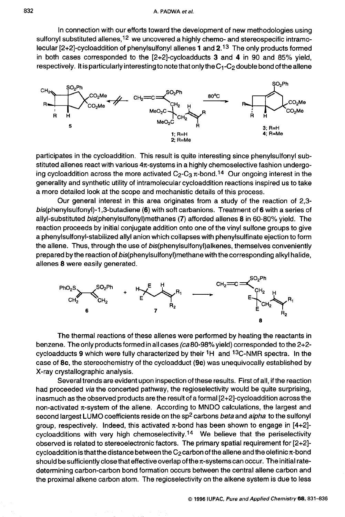In connection with our efforts toward the development of new methodologies using sulfonyl substituted allenes,  $12$  we uncovered a highly chemo- and stereospecific intramolecular [2+2]-cycloaddition of phenylsulfonyl allenes **1** and 2.l3 The only products formed in both cases corresponded to the [2+2]-cycloadducts **3** and **4** in 90 and 85% yield, respectively. It is particularly interesting to note that only the  $C_1$ - $C_2$  double bond of the allene



participates in the cycloaddition. This result is quite interesting since phenylsulfonyl substituted allenes react with various  $4\pi$ -systems in a highly chemoselective fashion undergoing cycloaddition across the more activated  $C_2-C_3 \pi$ -bond.<sup>14</sup> Our ongoing interest in the generality and synthetic utility of intramolecular cycloaddition reactions inspired us to take a more detailed look at the scope and mechanistic details of this process.

Our general interest in this area originates from a study of the reaction of 2,3 **bis(phenylsulfonyl)-1,3-butadiene** *(6)* with soft carbanions. Treatment of *6* with a series of allyl-substituted **bis(phenylsulfony1)methanes (7)** afforded allenes **8** in **60-80%** yield. The reaction proceeds by initial conjugate addition onto one of the vinyl sulfone groups to give a **phenylsulfonyl-stabilized** ally1 anion which collapses with phenylsulfinate ejection to form the allene. Thus, through the use of **bis(phenylsuIfonyl)alkenes,** themselves conveniently prepared by the reaction of bis(phenylsulfonyl)methane with the corresponding alkyl halide, allenes **8** were easily generated.



The thermal reactions of these allenes were performed by heating the reactants in benzene. The only products formed in all cases *(ca* 80-98% yield) corresponded to the 2+2 cycloadducts **9** which were fully characterized by their 1H and 13C-NMR spectra. In the case of **8c,** the stereochemistry of the cycloadduct **(9c)** was unequivocally established by X-ray crystallographic analysis.

Several trends are evident upon inspection of these results. First of all, if the reaction had proceeded *via* the concerted pathway, the regioselectivity would be quite surprising, inasmuch as the observed products are the result of a formal [2+2]-cycloaddition across the non-activated  $\pi$ -system of the allene. According to MNDO calculations, the largest and second largest LUMO coefficients reside on the sp2 carbons *beta* and *alpha* to the sulfonyl group, respectively. Indeed, this activated  $\pi$ -bond has been shown to engage in  $[4+2]$ cycloadditions with very high chemoselectivity.<sup>14</sup> We believe that the periselectivity observed is related to stereoelectronic factors. The primary spatial requirement for [2+2] cycloaddition is that the distance between the  $C_2$  carbon of the allene and the olefinic  $\pi$ -bond should be sufficiently close that effective overlap of the  $\pi$ -systems can occur. The initial ratedetermining carbon-carbon bond formation occurs between the central allene carbon and the proximal alkene carbon atom. The regioselectivity on the alkene system is due to less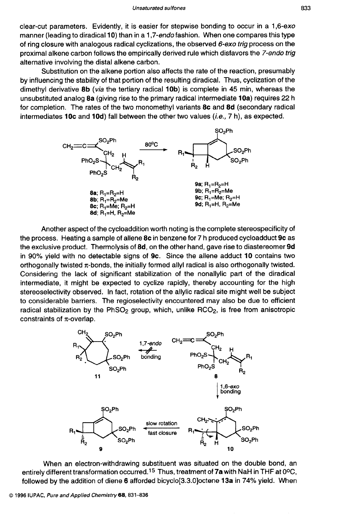clear-cut parameters. Evidently, it is easier for stepwise bonding to occur in a 1,6-exo manner (leading to diradical **10)** than in a 1,7-endofashion. When one compares this type of ring closure with analogous radical cyclizations, the observed 6-exo trig process on the proximal alkene carbon follows the empirically derived rule which disfavors the 7-endo *trig*  alternative involving the distal alkene carbon.

Substitution on the alkene portion also affects the rate of the reaction, presumably by influencing the stability of that portion of the resulting diradical. Thus, cyclization of the dimethyl derivative **8b** *(via* the tertiary radical **lob)** is complete in 45 min, whereas the unsubstituted analog **8a** (giving rise to the primary radical intermediate **10a)** requires 22 h for completion. The rates of the two monomethyl variants **8c** and **8d** (secondary radical intermediates **1Oc** and **10d)** fall between the other two values *(i.e.,* 7 h), as expected.



Another aspect of the cycloaddition worth noting is the complete stereospecificity of the process. Heating a sample of allene **8c** in benzene for *7* h produced cycloadduct **9c** as the exclusive product. Thermolysis of **8d,** on the other hand, gave rise to diastereomer **9d**  in 90% yield with no detectable signs of **9c.** Since the allene adduct **10** contains two orthogonally twisted  $\pi$ -bonds, the initially formed allyl radical is also orthogonally twisted. Considering the lack of significant stabilization of the nonallylic part of the diradical intermediate, it might be expected to cyclize rapidly, thereby accounting for the high stereoselectivity observed. In fact, rotation of the allylic radical site might well be subject to considerable barriers. The regioselectivity encountered may also be due to efficient radical stabilization by the  $PhSO<sub>2</sub>$  group, which, unlike  $RCO<sub>2</sub>$ , is free from anisotropic constraints of  $\pi$ -overlap.



When an electron-withdrawing substituent was situated on the double bond, an entirely different transformation occurred.<sup>15</sup> Thus, treatment of 7a with NaH in THF at 0°C, followed by the addition of diene **6** afforded bicyclo[3.3.0]octene **13a** in 74% yield. When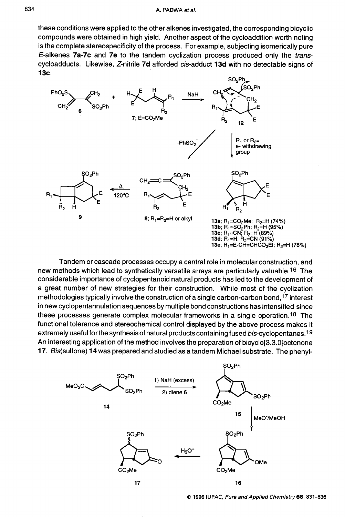these conditions were applied to the other alkenes investigated, the corresponding bicyclic compounds were obtained in high yield. Another aspect of the cycloaddition worth noting is the complete stereospecificity of the process. For example, subjecting isomerically pure E-alkenes **7a-7c** and **7e** to the tandem cyclization process produced only the *trans*cycloadducts. Likewise, Z-nitrile **7d** afforded cis-adduct **13d** with no detectable signs of **13c.** 



Tandem or cascade processes occupy a central role in molecular construction, and new methods which lead to synthetically versatile arrays are particularly valuable.'6 The considerable importance of cyclopentanoid natural products has led to the development of a great number of new strategies for their construction. While most of the cyclization methodologies typically involve the construction of a single carbon-carbon bond,<sup>17</sup> interest in new cyclopentannulation sequences by multiple bond constructions has intensified since these processes generate complex molecular frameworks in a single operation.'8 The functional tolerance and stereochemical control displayed by the above process makes it extremely useful for the synthesis of natural products containing fused bis-cyclopentanes.19 An interesting application of the method involves the preparation of bicyclo[3.3.0]octenone **17.** Bis(sulfone) **14** was prepared and studied as a tandem Michael substrate. The phenyl-



*0* **1996 IUPAC,** *Pure and Applied Chernistry68,831-836*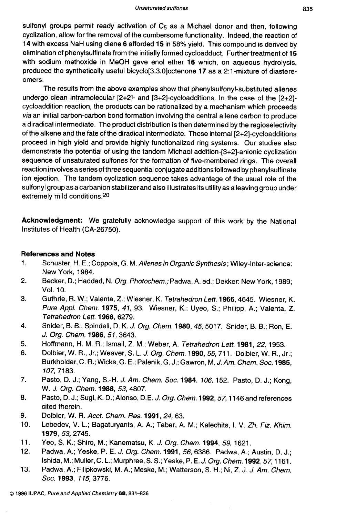sulfonyl groups permit ready activation of C<sub>5</sub> as a Michael donor and then, following cyclization, allow for the removal of the cumbersome functionality. Indeed, the reaction of 14 with excess NaH using diene 6 afforded 15 in 58% yield. This compound is derived by elimination of phenylsulfinate from the initially formed cycloadduct. Further treatment of 15 with sodium methoxide in MeOH gave enol ether 16 which, on aqueous hydrolysis, produced the synthetically useful bicyclo[3.3.0]octenone 17 as a 2:l -mixture of diastereomers.

The results from the above examples show that phenylsulfonyl-substituted allenes undergo clean intramolecular [2+2]- and [3+2]-cycloadditions. In the case of the [2+2] cycloaddition reaction, the products can be rationalized by a mechanism which proceeds via an initial carbon-carbon bond formation involving the central allene carbon to produce a diradical intermediate. The product distribution is then determined by the regioselectivity of the alkene and the fate of the diradical intermediate. These internal [2+2]-cycloadditions proceed in high yield and provide highly functionalized ring systems. Our studies also demonstrate the potential of using the tandem Michael addition-[3+2]-anionic cyclization sequence of unsaturated sulfones for the formation of five-membered rings. The overall reaction involves a series of three sequential conjugate additions followed by phenylsulfinate ion ejection. The tandem cyclization sequence takes advantage of the usual role of the sulfonyl group as acarbanion stabilizer and also illustrates its utility as a leaving group under extremely mild conditions.20

Acknowledgment: We gratefully acknowledge support of this work by the National Institutes of Health (CA-26750).

## References and Notes

- 1. Schuster, H. E.; Coppola, G. M. *Allenes in Organic Synthesis;* Wiley-lnter-science: New York, 1984.
- 2. Becker, D.; Haddad, N. *Org. Photochem.;* Padwa, *A.* ed.; Dekker: New York, 1989; VOl. 10.
- 3. Guthrie, R. W.; Valenta, Z.; Wiesner, K. *Tetrahedron Lett.* 1966,4645. Wiesner, K. *Pure Appl. Chem.* 1975, *41,* 93. Wiesner, K.; Uyeo, S.; Philipp, A.; Valenta, Z. *Tetrahedron Left.* 1968, 6279.
- 4. Snider, **6.** 6.; Spindell, D. K. J. *Org. Chem.* 1980,45,5017. Snider, 6. *6.;* Ron, E. J. *Org. Chem.* 1986, 51,3643.
- 5. Hoffmann, H. M. R.; Ismail, Z. M.; Weber, A. *Tetrahedron Lett.* 1981, 22, 1953.
- 6. Dolbier, W. R., Jr.; Weaver, S. L. *J. Org. Chem.* 1990, 55,711. Dolbier, W. R., Jr.; Burkholder, C. R.; Wicks, G. E.; Palenik, G. J.; Gawron, M. J. *Am. Chem. Soc.* 1985, 107,7183.
- *7.*  Pasto, D. J.; Yang, S.-H. J. Am. *Chem. Soc.* 1984, *106,* 152. Pasto, D. J.; Kong, W. J. *Org. Chem.* 1988, 53,4807.
- a. Pasto, D. J.; Sugi, K. D.; Alonso, D.E. J. *Org. Chem.* **1992**, 57, 1146 and references cited therein.
- 9. Dolbier, W. R. *Acct. Chem. Res.* 1991, *24,* 63.
- 10. Lebedev, V. L.; Bagaturyants, A. A.; Taber, A. M.; Kalechits, I. V. *Zh. Fiz. Khim.*  1979, 53,2745.
- 11. Yeo, S. K.; Shiro, M.; Kanematsu, K. J. *Org. Chem.* 1994, 59, 1621.
- 12. Padwa, A.; Yeske, P. E. J. *Org. Chem.* 1991, 56,6386. Padwa, A.; Austin, D. J.; Ishida, M.; Muller, C. L.; Murphree, S. S.; Yeske, P. E. *J. Org. Chem.* 1992,57,1161.
- 13. Padwa, A.; Filipkowski, M. A.; Meske, M.; Watterson, S. H.; Ni, Z. J. J. *Am. Chem. SOC.* 1993, 115,3776.